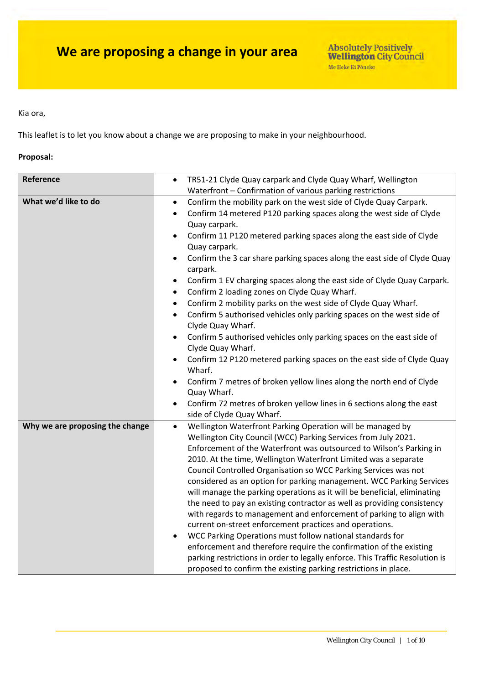Kia ora,

This leaflet is to let you know about a change we are proposing to make in your neighbourhood.

### **Proposal:**

| Reference                       | TR51-21 Clyde Quay carpark and Clyde Quay Wharf, Wellington<br>$\bullet$             |
|---------------------------------|--------------------------------------------------------------------------------------|
|                                 | Waterfront - Confirmation of various parking restrictions                            |
| What we'd like to do            | Confirm the mobility park on the west side of Clyde Quay Carpark.<br>$\bullet$       |
|                                 | Confirm 14 metered P120 parking spaces along the west side of Clyde<br>$\bullet$     |
|                                 | Quay carpark.                                                                        |
|                                 | Confirm 11 P120 metered parking spaces along the east side of Clyde                  |
|                                 | Quay carpark.                                                                        |
|                                 | Confirm the 3 car share parking spaces along the east side of Clyde Quay<br>carpark. |
|                                 | Confirm 1 EV charging spaces along the east side of Clyde Quay Carpark.              |
|                                 | Confirm 2 loading zones on Clyde Quay Wharf.<br>$\bullet$                            |
|                                 | Confirm 2 mobility parks on the west side of Clyde Quay Wharf.<br>$\bullet$          |
|                                 | Confirm 5 authorised vehicles only parking spaces on the west side of<br>$\bullet$   |
|                                 | Clyde Quay Wharf.                                                                    |
|                                 | Confirm 5 authorised vehicles only parking spaces on the east side of                |
|                                 | Clyde Quay Wharf.                                                                    |
|                                 | Confirm 12 P120 metered parking spaces on the east side of Clyde Quay                |
|                                 | Wharf.                                                                               |
|                                 | Confirm 7 metres of broken yellow lines along the north end of Clyde                 |
|                                 | Quay Wharf.                                                                          |
|                                 | Confirm 72 metres of broken yellow lines in 6 sections along the east<br>$\bullet$   |
|                                 | side of Clyde Quay Wharf.                                                            |
| Why we are proposing the change | Wellington Waterfront Parking Operation will be managed by<br>$\bullet$              |
|                                 | Wellington City Council (WCC) Parking Services from July 2021.                       |
|                                 | Enforcement of the Waterfront was outsourced to Wilson's Parking in                  |
|                                 | 2010. At the time, Wellington Waterfront Limited was a separate                      |
|                                 | Council Controlled Organisation so WCC Parking Services was not                      |
|                                 | considered as an option for parking management. WCC Parking Services                 |
|                                 | will manage the parking operations as it will be beneficial, eliminating             |
|                                 | the need to pay an existing contractor as well as providing consistency              |
|                                 | with regards to management and enforcement of parking to align with                  |
|                                 | current on-street enforcement practices and operations.                              |
|                                 | WCC Parking Operations must follow national standards for<br>$\bullet$               |
|                                 | enforcement and therefore require the confirmation of the existing                   |
|                                 | parking restrictions in order to legally enforce. This Traffic Resolution is         |
|                                 | proposed to confirm the existing parking restrictions in place.                      |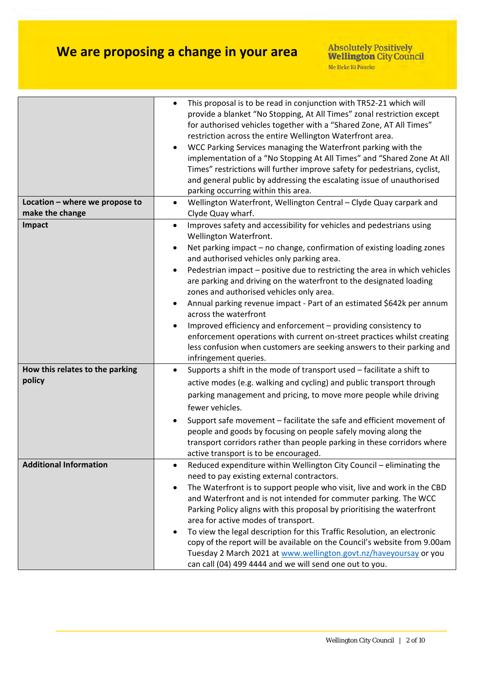|                                                   | This proposal is to be read in conjunction with TR52-21 which will<br>provide a blanket "No Stopping, At All Times" zonal restriction except<br>for authorised vehicles together with a "Shared Zone, AT All Times"<br>restriction across the entire Wellington Waterfront area.<br>WCC Parking Services managing the Waterfront parking with the<br>implementation of a "No Stopping At All Times" and "Shared Zone At All<br>Times" restrictions will further improve safety for pedestrians, cyclist,<br>and general public by addressing the escalating issue of unauthorised<br>parking occurring within this area.                                                                                                                                                  |
|---------------------------------------------------|---------------------------------------------------------------------------------------------------------------------------------------------------------------------------------------------------------------------------------------------------------------------------------------------------------------------------------------------------------------------------------------------------------------------------------------------------------------------------------------------------------------------------------------------------------------------------------------------------------------------------------------------------------------------------------------------------------------------------------------------------------------------------|
| Location - where we propose to<br>make the change | Wellington Waterfront, Wellington Central - Clyde Quay carpark and<br>$\bullet$<br>Clyde Quay wharf.                                                                                                                                                                                                                                                                                                                                                                                                                                                                                                                                                                                                                                                                      |
| Impact                                            | Improves safety and accessibility for vehicles and pedestrians using<br>Wellington Waterfront.<br>Net parking impact - no change, confirmation of existing loading zones<br>and authorised vehicles only parking area.<br>Pedestrian impact - positive due to restricting the area in which vehicles<br>are parking and driving on the waterfront to the designated loading<br>zones and authorised vehicles only area.<br>Annual parking revenue impact - Part of an estimated \$642k per annum<br>across the waterfront<br>Improved efficiency and enforcement - providing consistency to<br>enforcement operations with current on-street practices whilst creating<br>less confusion when customers are seeking answers to their parking and<br>infringement queries. |
| How this relates to the parking<br>policy         | Supports a shift in the mode of transport used - facilitate a shift to<br>$\bullet$<br>active modes (e.g. walking and cycling) and public transport through<br>parking management and pricing, to move more people while driving<br>fewer vehicles.<br>Support safe movement - facilitate the safe and efficient movement of<br>people and goods by focusing on people safely moving along the<br>transport corridors rather than people parking in these corridors where<br>active transport is to be encouraged.                                                                                                                                                                                                                                                        |
| <b>Additional Information</b>                     | Reduced expenditure within Wellington City Council - eliminating the<br>need to pay existing external contractors.<br>The Waterfront is to support people who visit, live and work in the CBD<br>and Waterfront and is not intended for commuter parking. The WCC<br>Parking Policy aligns with this proposal by prioritising the waterfront<br>area for active modes of transport.<br>To view the legal description for this Traffic Resolution, an electronic<br>copy of the report will be available on the Council's website from 9.00am<br>Tuesday 2 March 2021 at www.wellington.govt.nz/haveyoursay or you<br>can call (04) 499 4444 and we will send one out to you.                                                                                              |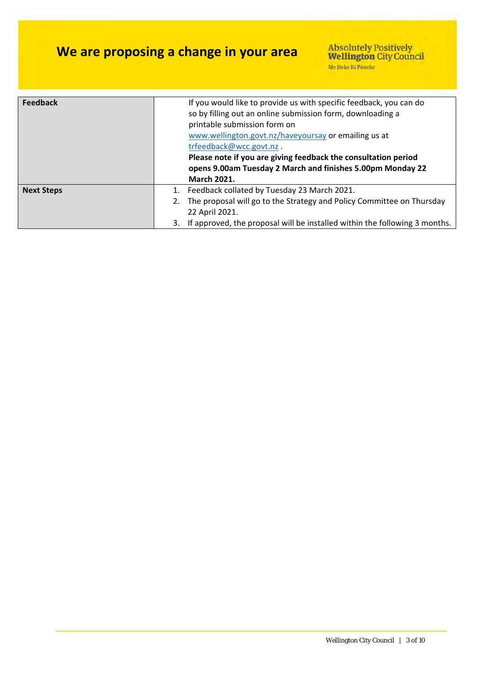| <b>Feedback</b>   | If you would like to provide us with specific feedback, you can do<br>so by filling out an online submission form, downloading a<br>printable submission form on<br>www.wellington.govt.nz/haveyoursay or emailing us at<br>trfeedback@wcc.govt.nz.<br>Please note if you are giving feedback the consultation period<br>opens 9.00am Tuesday 2 March and finishes 5.00pm Monday 22<br><b>March 2021.</b> |
|-------------------|-----------------------------------------------------------------------------------------------------------------------------------------------------------------------------------------------------------------------------------------------------------------------------------------------------------------------------------------------------------------------------------------------------------|
| <b>Next Steps</b> | 1. Feedback collated by Tuesday 23 March 2021.<br>The proposal will go to the Strategy and Policy Committee on Thursday<br>22 April 2021.                                                                                                                                                                                                                                                                 |
|                   | If approved, the proposal will be installed within the following 3 months.<br>3.                                                                                                                                                                                                                                                                                                                          |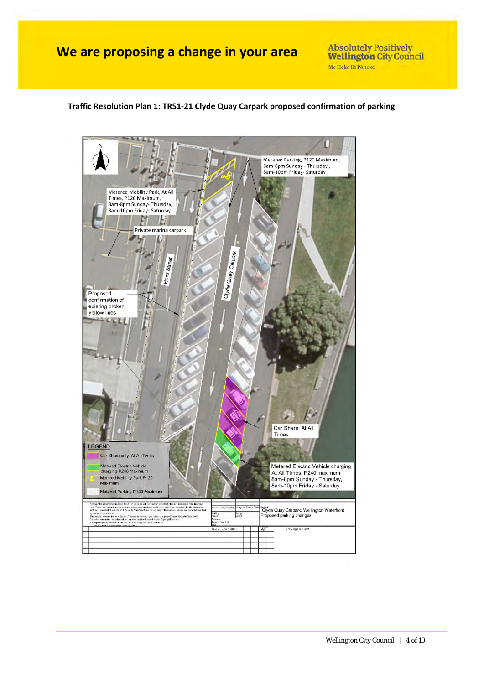**Absolutely Positively Wellington City Council** Me Heke Ki Pôneke

### **Traffic Resolution Plan 1: TR51‐21 Clyde Quay Carpark proposed confirmation of parking**

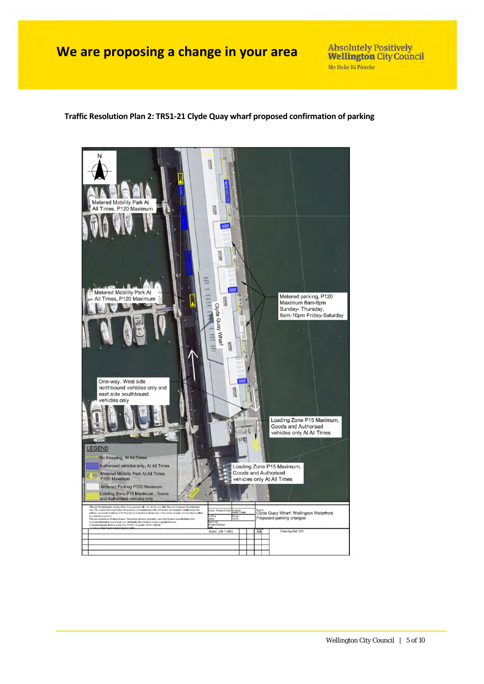**Absolutely Positively Wellington City Council** Me Heke Ki Pôneke

#### **Traffic Resolution Plan 2: TR51‐21 Clyde Quay wharf proposed confirmation of parking**

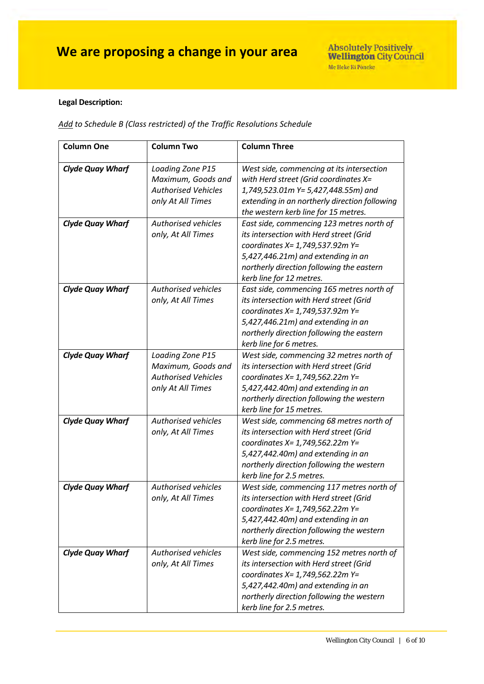### **Legal Description:**

*Add to Schedule B (Class restricted) of the Traffic Resolutions Schedule*

| <b>Column One</b>       | <b>Column Two</b>                                                                         | <b>Column Three</b>                                                                                                                                                                                                                     |
|-------------------------|-------------------------------------------------------------------------------------------|-----------------------------------------------------------------------------------------------------------------------------------------------------------------------------------------------------------------------------------------|
| <b>Clyde Quay Wharf</b> | Loading Zone P15<br>Maximum, Goods and<br><b>Authorised Vehicles</b><br>only At All Times | West side, commencing at its intersection<br>with Herd street (Grid coordinates X=<br>1,749,523.01m Y= 5,427,448.55m) and<br>extending in an northerly direction following<br>the western kerb line for 15 metres.                      |
| <b>Clyde Quay Wharf</b> | <b>Authorised vehicles</b><br>only, At All Times                                          | East side, commencing 123 metres north of<br>its intersection with Herd street (Grid<br>coordinates X= 1,749,537.92m Y=<br>5,427,446.21m) and extending in an<br>northerly direction following the eastern<br>kerb line for 12 metres.  |
| <b>Clyde Quay Wharf</b> | <b>Authorised vehicles</b><br>only, At All Times                                          | East side, commencing 165 metres north of<br>its intersection with Herd street (Grid<br>coordinates X= 1,749,537.92m Y=<br>5,427,446.21m) and extending in an<br>northerly direction following the eastern<br>kerb line for 6 metres.   |
| <b>Clyde Quay Wharf</b> | Loading Zone P15<br>Maximum, Goods and<br><b>Authorised Vehicles</b><br>only At All Times | West side, commencing 32 metres north of<br>its intersection with Herd street (Grid<br>coordinates X= 1,749,562.22m Y=<br>5,427,442.40m) and extending in an<br>northerly direction following the western<br>kerb line for 15 metres.   |
| <b>Clyde Quay Wharf</b> | <b>Authorised vehicles</b><br>only, At All Times                                          | West side, commencing 68 metres north of<br>its intersection with Herd street (Grid<br>coordinates X= 1,749,562.22m Y=<br>5,427,442.40m) and extending in an<br>northerly direction following the western<br>kerb line for 2.5 metres.  |
| <b>Clyde Quay Wharf</b> | <b>Authorised vehicles</b><br>only, At All Times                                          | West side, commencing 117 metres north of<br>its intersection with Herd street (Grid<br>coordinates X= 1,749,562.22m Y=<br>5,427,442.40m) and extending in an<br>northerly direction following the western<br>kerb line for 2.5 metres. |
| <b>Clyde Quay Wharf</b> | <b>Authorised vehicles</b><br>only, At All Times                                          | West side, commencing 152 metres north of<br>its intersection with Herd street (Grid<br>coordinates X= 1,749,562.22m Y=<br>5,427,442.40m) and extending in an<br>northerly direction following the western<br>kerb line for 2.5 metres. |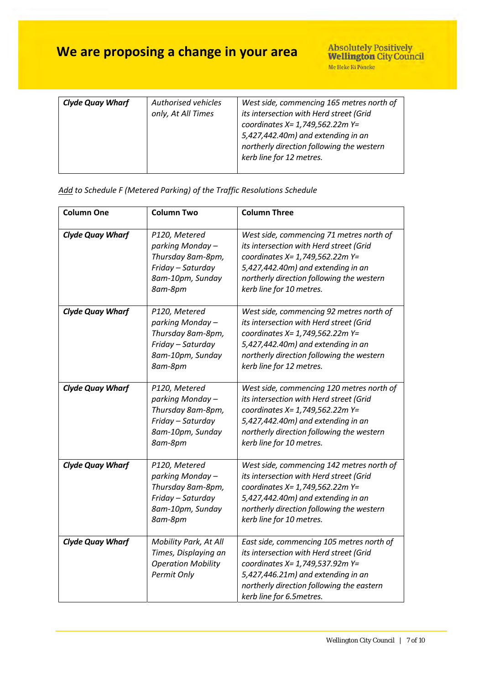| <b>Clyde Quay Wharf</b> | Authorised vehicles<br>only, At All Times | West side, commencing 165 metres north of<br>its intersection with Herd street (Grid<br>coordinates $X = 1,749,562.22m$ Y=<br>5,427,442.40m) and extending in an<br>northerly direction following the western<br>kerb line for 12 metres. |
|-------------------------|-------------------------------------------|-------------------------------------------------------------------------------------------------------------------------------------------------------------------------------------------------------------------------------------------|
|                         |                                           |                                                                                                                                                                                                                                           |

### *Add to Schedule F (Metered Parking) of the Traffic Resolutions Schedule*

| <b>Column One</b>       | <b>Column Two</b>                                                                                          | <b>Column Three</b>                                                                                                                                                                                                                    |
|-------------------------|------------------------------------------------------------------------------------------------------------|----------------------------------------------------------------------------------------------------------------------------------------------------------------------------------------------------------------------------------------|
| <b>Clyde Quay Wharf</b> | P120, Metered<br>parking Monday -<br>Thursday 8am-8pm,<br>Friday - Saturday<br>8am-10pm, Sunday<br>8am-8pm | West side, commencing 71 metres north of<br>its intersection with Herd street (Grid<br>coordinates X= 1,749,562.22m Y=<br>5,427,442.40m) and extending in an<br>northerly direction following the western<br>kerb line for 10 metres.  |
| <b>Clyde Quay Wharf</b> | P120, Metered<br>parking Monday-<br>Thursday 8am-8pm,<br>Friday - Saturday<br>8am-10pm, Sunday<br>8am-8pm  | West side, commencing 92 metres north of<br>its intersection with Herd street (Grid<br>coordinates X= 1,749,562.22m Y=<br>5,427,442.40m) and extending in an<br>northerly direction following the western<br>kerb line for 12 metres.  |
| <b>Clyde Quay Wharf</b> | P120, Metered<br>parking Monday -<br>Thursday 8am-8pm,<br>Friday - Saturday<br>8am-10pm, Sunday<br>8am-8pm | West side, commencing 120 metres north of<br>its intersection with Herd street (Grid<br>coordinates X= 1,749,562.22m Y=<br>5,427,442.40m) and extending in an<br>northerly direction following the western<br>kerb line for 10 metres. |
| <b>Clyde Quay Wharf</b> | P120, Metered<br>parking Monday-<br>Thursday 8am-8pm,<br>Friday - Saturday<br>8am-10pm, Sunday<br>8am-8pm  | West side, commencing 142 metres north of<br>its intersection with Herd street (Grid<br>coordinates X= 1,749,562.22m Y=<br>5,427,442.40m) and extending in an<br>northerly direction following the western<br>kerb line for 10 metres. |
| <b>Clyde Quay Wharf</b> | Mobility Park, At All<br>Times, Displaying an<br><b>Operation Mobility</b><br>Permit Only                  | East side, commencing 105 metres north of<br>its intersection with Herd street (Grid<br>coordinates X= 1,749,537.92m Y=<br>5,427,446.21m) and extending in an<br>northerly direction following the eastern<br>kerb line for 6.5metres. |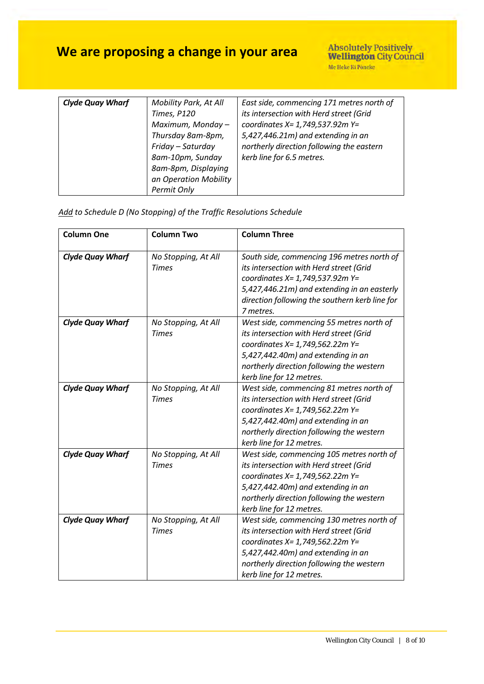| <b>Clyde Quay Wharf</b> | Mobility Park, At All<br>Times, P120 | East side, commencing 171 metres north of<br>its intersection with Herd street (Grid |
|-------------------------|--------------------------------------|--------------------------------------------------------------------------------------|
|                         | Maximum, Monday-                     | coordinates X= 1,749,537.92m Y=                                                      |
|                         | Thursday 8am-8pm,                    | 5,427,446.21m) and extending in an                                                   |
|                         | Friday - Saturday                    | northerly direction following the eastern                                            |
|                         | 8am-10pm, Sunday                     | kerb line for 6.5 metres.                                                            |
|                         | 8am-8pm, Displaying                  |                                                                                      |
|                         | an Operation Mobility                |                                                                                      |
|                         | Permit Only                          |                                                                                      |

| Add to Schedule D (No Stopping) of the Traffic Resolutions Schedule |
|---------------------------------------------------------------------|
|---------------------------------------------------------------------|

| <b>Column One</b>       | <b>Column Two</b>   | <b>Column Three</b>                            |
|-------------------------|---------------------|------------------------------------------------|
|                         |                     |                                                |
| <b>Clyde Quay Wharf</b> | No Stopping, At All | South side, commencing 196 metres north of     |
|                         | <b>Times</b>        | its intersection with Herd street (Grid        |
|                         |                     | coordinates X= 1,749,537.92m Y=                |
|                         |                     | 5,427,446.21m) and extending in an easterly    |
|                         |                     | direction following the southern kerb line for |
|                         |                     | 7 metres.                                      |
| <b>Clyde Quay Wharf</b> | No Stopping, At All | West side, commencing 55 metres north of       |
|                         | <b>Times</b>        | its intersection with Herd street (Grid        |
|                         |                     | coordinates X= 1,749,562.22m Y=                |
|                         |                     | 5,427,442.40m) and extending in an             |
|                         |                     | northerly direction following the western      |
|                         |                     | kerb line for 12 metres.                       |
| <b>Clyde Quay Wharf</b> | No Stopping, At All | West side, commencing 81 metres north of       |
|                         | <b>Times</b>        | its intersection with Herd street (Grid        |
|                         |                     | coordinates X= 1,749,562.22m Y=                |
|                         |                     | 5,427,442.40m) and extending in an             |
|                         |                     | northerly direction following the western      |
|                         |                     | kerb line for 12 metres.                       |
| <b>Clyde Quay Wharf</b> | No Stopping, At All | West side, commencing 105 metres north of      |
|                         | <b>Times</b>        | its intersection with Herd street (Grid        |
|                         |                     | coordinates X= 1,749,562.22m Y=                |
|                         |                     | 5,427,442.40m) and extending in an             |
|                         |                     | northerly direction following the western      |
|                         |                     | kerb line for 12 metres.                       |
| <b>Clyde Quay Wharf</b> | No Stopping, At All | West side, commencing 130 metres north of      |
|                         | <b>Times</b>        | its intersection with Herd street (Grid        |
|                         |                     | coordinates X= 1,749,562.22m Y=                |
|                         |                     | 5,427,442.40m) and extending in an             |
|                         |                     | northerly direction following the western      |
|                         |                     | kerb line for 12 metres.                       |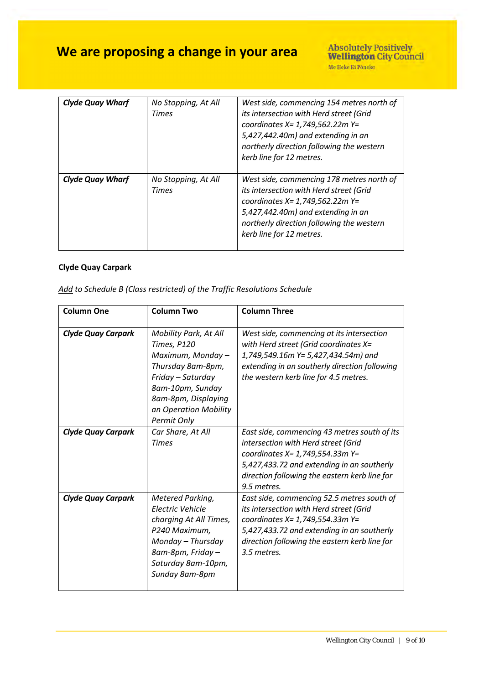| <b>Clyde Quay Wharf</b> | No Stopping, At All<br>Times | West side, commencing 154 metres north of<br>its intersection with Herd street (Grid<br>coordinates X= 1,749,562.22m Y=<br>5,427,442.40m) and extending in an<br>northerly direction following the western<br>kerb line for 12 metres. |
|-------------------------|------------------------------|----------------------------------------------------------------------------------------------------------------------------------------------------------------------------------------------------------------------------------------|
| <b>Clyde Quay Wharf</b> | No Stopping, At All<br>Times | West side, commencing 178 metres north of<br>its intersection with Herd street (Grid<br>coordinates X= 1,749,562.22m Y=<br>5,427,442.40m) and extending in an<br>northerly direction following the western<br>kerb line for 12 metres. |

### **Clyde Quay Carpark**

| <b>Column One</b>         | <b>Column Two</b>                                                                                                                                                                      | <b>Column Three</b>                                                                                                                                                                                                                    |
|---------------------------|----------------------------------------------------------------------------------------------------------------------------------------------------------------------------------------|----------------------------------------------------------------------------------------------------------------------------------------------------------------------------------------------------------------------------------------|
| <b>Clyde Quay Carpark</b> | Mobility Park, At All<br>Times, P120<br>Maximum, Monday -<br>Thursday 8am-8pm,<br>Friday - Saturday<br>8am-10pm, Sunday<br>8am-8pm, Displaying<br>an Operation Mobility<br>Permit Only | West side, commencing at its intersection<br>with Herd street (Grid coordinates X=<br>1,749,549.16m Y= 5,427,434.54m) and<br>extending in an southerly direction following<br>the western kerb line for 4.5 metres.                    |
| <b>Clyde Quay Carpark</b> | Car Share, At All<br><b>Times</b>                                                                                                                                                      | East side, commencing 43 metres south of its<br>intersection with Herd street (Grid<br>coordinates X= 1,749,554.33m Y=<br>5,427,433.72 and extending in an southerly<br>direction following the eastern kerb line for<br>9.5 metres.   |
| <b>Clyde Quay Carpark</b> | Metered Parking,<br>Electric Vehicle<br>charging At All Times,<br>P240 Maximum,<br>Monday - Thursday<br>8am-8pm, Friday -<br>Saturday 8am-10pm,<br>Sunday 8am-8pm                      | East side, commencing 52.5 metres south of<br>its intersection with Herd street (Grid<br>coordinates X= 1,749,554.33m Y=<br>5,427,433.72 and extending in an southerly<br>direction following the eastern kerb line for<br>3.5 metres. |